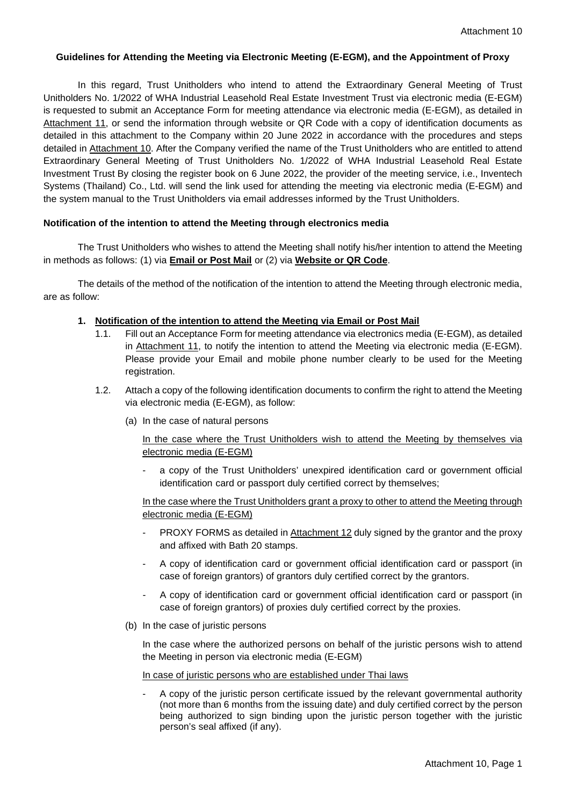### **Guidelines for Attending the Meeting via Electronic Meeting (E-EGM), and the Appointment of Proxy**

In this regard, Trust Unitholders who intend to attend the Extraordinary General Meeting of Trust Unitholders No. 1/2022 of WHA Industrial Leasehold Real Estate Investment Trust via electronic media (E-EGM) is requested to submit an Acceptance Form for meeting attendance via electronic media (E-EGM), as detailed in Attachment 11, or send the information through website or QR Code with a copy of identification documents as detailed in this attachment to the Company within 20 June 2022 in accordance with the procedures and steps detailed in Attachment 10. After the Company verified the name of the Trust Unitholders who are entitled to attend Extraordinary General Meeting of Trust Unitholders No. 1/2022 of WHA Industrial Leasehold Real Estate Investment Trust By closing the register book on 6 June 2022, the provider of the meeting service, i.e., Inventech Systems (Thailand) Co., Ltd. will send the link used for attending the meeting via electronic media (E-EGM) and the system manual to the Trust Unitholders via email addresses informed by the Trust Unitholders.

### **Notification of the intention to attend the Meeting through electronics media**

The Trust Unitholders who wishes to attend the Meeting shall notify his/her intention to attend the Meeting in methods as follows: (1) via **Email or Post Mail** or (2) via **Website or QR Code**.

The details of the method of the notification of the intention to attend the Meeting through electronic media, are as follow:

- **1. Notification of the intention to attend the Meeting via Email or Post Mail**
	- 1.1. Fill out an Acceptance Form for meeting attendance via electronics media (E-EGM), as detailed in Attachment 11, to notify the intention to attend the Meeting via electronic media (E-EGM). Please provide your Email and mobile phone number clearly to be used for the Meeting registration.
	- 1.2. Attach a copy of the following identification documents to confirm the right to attend the Meeting via electronic media (E-EGM), as follow:
		- (a) In the case of natural persons

In the case where the Trust Unitholders wish to attend the Meeting by themselves via electronic media (E-EGM)

a copy of the Trust Unitholders' unexpired identification card or government official identification card or passport duly certified correct by themselves;

In the case where the Trust Unitholders grant a proxy to other to attend the Meeting through electronic media (E-EGM)

- PROXY FORMS as detailed in Attachment 12 duly signed by the grantor and the proxy and affixed with Bath 20 stamps.
- A copy of identification card or government official identification card or passport (in case of foreign grantors) of grantors duly certified correct by the grantors.
- A copy of identification card or government official identification card or passport (in case of foreign grantors) of proxies duly certified correct by the proxies.
- (b) In the case of juristic persons

In the case where the authorized persons on behalf of the juristic persons wish to attend the Meeting in person via electronic media (E-EGM)

In case of juristic persons who are established under Thai laws

- A copy of the juristic person certificate issued by the relevant governmental authority (not more than 6 months from the issuing date) and duly certified correct by the person being authorized to sign binding upon the juristic person together with the juristic person's seal affixed (if any).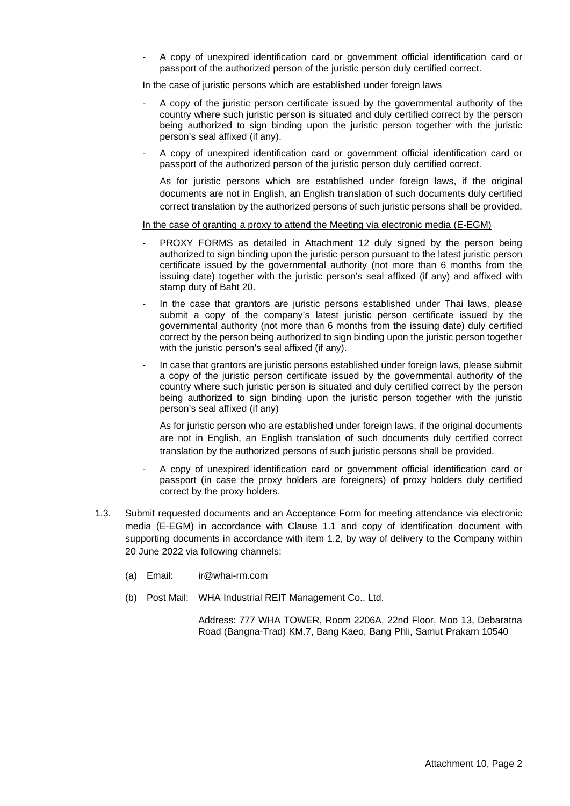A copy of unexpired identification card or government official identification card or passport of the authorized person of the juristic person duly certified correct.

In the case of juristic persons which are established under foreign laws

- A copy of the juristic person certificate issued by the governmental authority of the country where such juristic person is situated and duly certified correct by the person being authorized to sign binding upon the juristic person together with the juristic person's seal affixed (if any).
- A copy of unexpired identification card or government official identification card or passport of the authorized person of the juristic person duly certified correct.

As for juristic persons which are established under foreign laws, if the original documents are not in English, an English translation of such documents duly certified correct translation by the authorized persons of such juristic persons shall be provided.

#### In the case of granting a proxy to attend the Meeting via electronic media (E-EGM)

- PROXY FORMS as detailed in Attachment 12 duly signed by the person being authorized to sign binding upon the juristic person pursuant to the latest juristic person certificate issued by the governmental authority (not more than 6 months from the issuing date) together with the juristic person's seal affixed (if any) and affixed with stamp duty of Baht 20.
- In the case that grantors are juristic persons established under Thai laws, please submit a copy of the company's latest juristic person certificate issued by the governmental authority (not more than 6 months from the issuing date) duly certified correct by the person being authorized to sign binding upon the juristic person together with the juristic person's seal affixed (if any).
- In case that grantors are juristic persons established under foreign laws, please submit a copy of the juristic person certificate issued by the governmental authority of the country where such juristic person is situated and duly certified correct by the person being authorized to sign binding upon the juristic person together with the juristic person's seal affixed (if any)

As for juristic person who are established under foreign laws, if the original documents are not in English, an English translation of such documents duly certified correct translation by the authorized persons of such juristic persons shall be provided.

- A copy of unexpired identification card or government official identification card or passport (in case the proxy holders are foreigners) of proxy holders duly certified correct by the proxy holders.
- 1.3. Submit requested documents and an Acceptance Form for meeting attendance via electronic media (E-EGM) in accordance with Clause 1.1 and copy of identification document with supporting documents in accordance with item 1.2, by way of delivery to the Company within 20 June 2022 via following channels:
	- (a) Email: ir@whai-rm.com
	- (b) Post Mail: WHA Industrial REIT Management Co., Ltd.

Address: 777 WHA TOWER, Room 2206A, 22nd Floor, Moo 13, Debaratna Road (Bangna-Trad) KM.7, Bang Kaeo, Bang Phli, Samut Prakarn 10540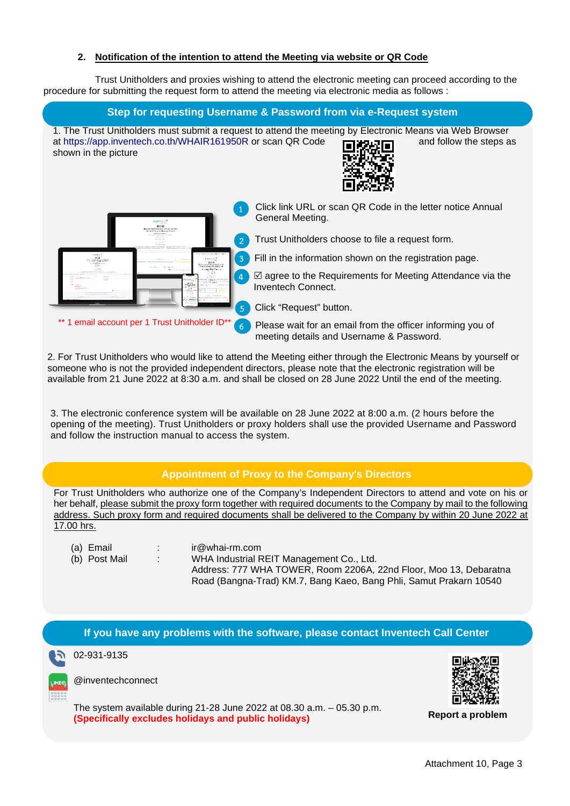### **2. Notification of the intention to attend the Meeting via website or QR Code**

Trust Unitholders and proxies wishing to attend the electronic meeting can proceed according to the procedure for submitting the request form to attend the meeting via electronic media as follows :

### **Step for requesting Username & Password from via e-Request system**

1. The Trust Unitholders must submit a request to attend the meeting by Electronic Means via Web Browser at<https://app.inventech.co.th/WHAIR161950R> or scan QR Code **and follow the steps as** shown in the picture





- **1** Click link URL or scan QR Code in the letter notice Annual General Meeting.
- **2** Trust Unitholders choose to file a request form.
- **3** Fill in the information shown on the registration page.
- **4**  $\Box$  agree to the Requirements for Meeting Attendance via the Inventech Connect.
- **5** Click "Request" button.

**6** Please wait for an email from the officer informing you of meeting details and Username & Password.

2. For Trust Unitholders who would like to attend the Meeting either through the Electronic Means by yourself or someone who is not the provided independent directors, please note that the electronic registration will be available from 21 June 2022 at 8:30 a.m. and shall be closed on 28 June 2022 Until the end of the meeting.

3. The electronic conference system will be available on 28 June 2022 at 8:00 a.m. (2 hours before the opening of the meeting). Trust Unitholders or proxy holders shall use the provided Username and Password and follow the instruction manual to access the system.

# **Appointment of Proxy to the Company's Directors**

For Trust Unitholders who authorize one of the Company's Independent Directors to attend and vote on his or her behalf, please submit the proxy form together with required documents to the Company by mail to the following address. Such proxy form and required documents shall be delivered to the Company by within 20 June 2022 at 17.00 hrs.

- 
- 
- (a) Email (a) : ir@whai-rm.com<br>(b) Post Mail (b) : WHA Industrial R
- 

: WHA Industrial REIT Management Co., Ltd. Address: 777 WHA TOWER, Room 2206A, 22nd Floor, Moo 13, Debaratna Road (Bangna-Trad) KM.7, Bang Kaeo, Bang Phli, Samut Prakarn 10540

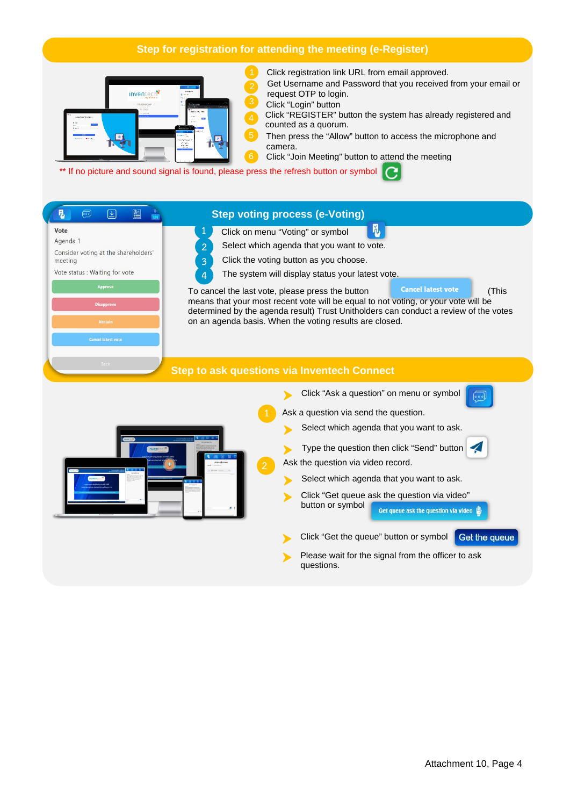# **Step for registration for attending the meeting (e-Register)**



Click registration link URL from email approved.

- Get Username and Password that you received from your email or request OTP to login.
- Click "Login" button
- Click "REGISTER" button the system has already registered and counted as a quorum.
- Then press the "Allow" button to access the microphone and camera.
- Click "Join Meeting" button to attend the meeting

\*\* If no picture and sound signal is found, please press the refresh button or symbol

# **Step voting process (e-Voting)**

- M. **1** Click on menu "Voting" or symbol
- Agenda 1 Consider voting at the shareholders' meeting

图

 $\boxed{\underline{\mathbf{v}}}$ 

### Vote status : Waiting for vote

n,

Vote



- 
- **2** Select which agenda that you want to vote.<br>**3** Click the voting button as you choose.
- **3** Click the voting button as you choose. **4** The system will display status your latest vote.

To cancel the last vote, please press the button **Cancel latest vote** (This means that your most recent vote will be equal to not voting, or your vote will be determined by the agenda result) Trust Unitholders can conduct a review of the votes on an agenda basis. When the voting results are closed.

#### **Step to ask questions via Inventech Connect**

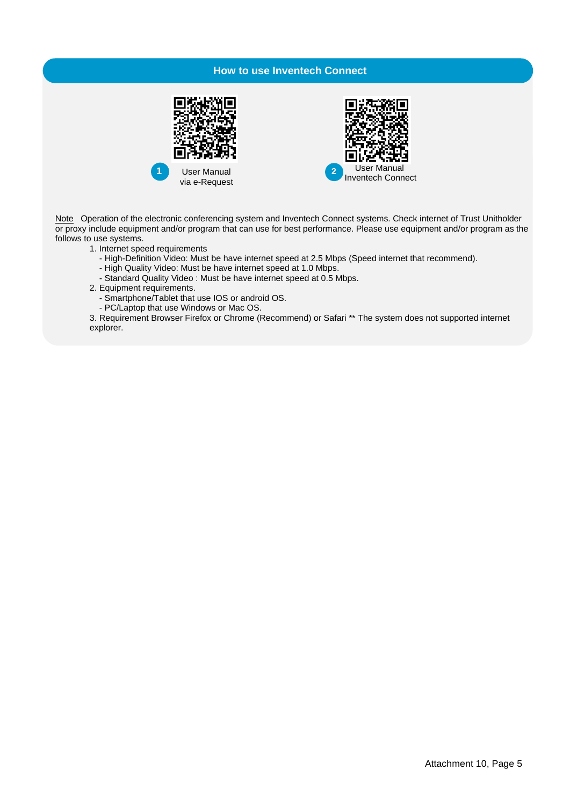# **How to use Inventech Connect**





Note Operation of the electronic conferencing system and Inventech Connect systems. Check internet of Trust Unitholder or proxy include equipment and/or program that can use for best performance. Please use equipment and/or program as the follows to use systems.

1. Internet speed requirements

- High-Definition Video: Must be have internet speed at 2.5 Mbps (Speed internet that recommend).
- High Quality Video: Must be have internet speed at 1.0 Mbps.
- Standard Quality Video : Must be have internet speed at 0.5 Mbps.
- 2. Equipment requirements.
	- Smartphone/Tablet that use IOS or android OS.
	- PC/Laptop that use Windows or Mac OS.

3. Requirement Browser Firefox or Chrome (Recommend) or Safari \*\* The system does not supported internet explorer.